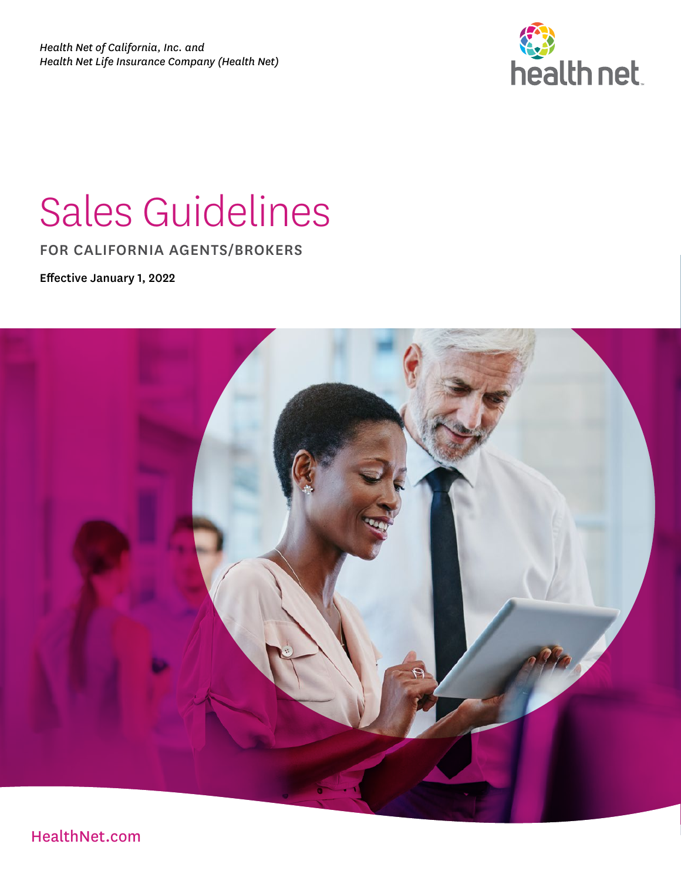

# Sales Guidelines

FOR CALIFORNIA AGENTS/BROKERS

Effective January 1, 2022



[HealthNet.com](http://HealthNet.com)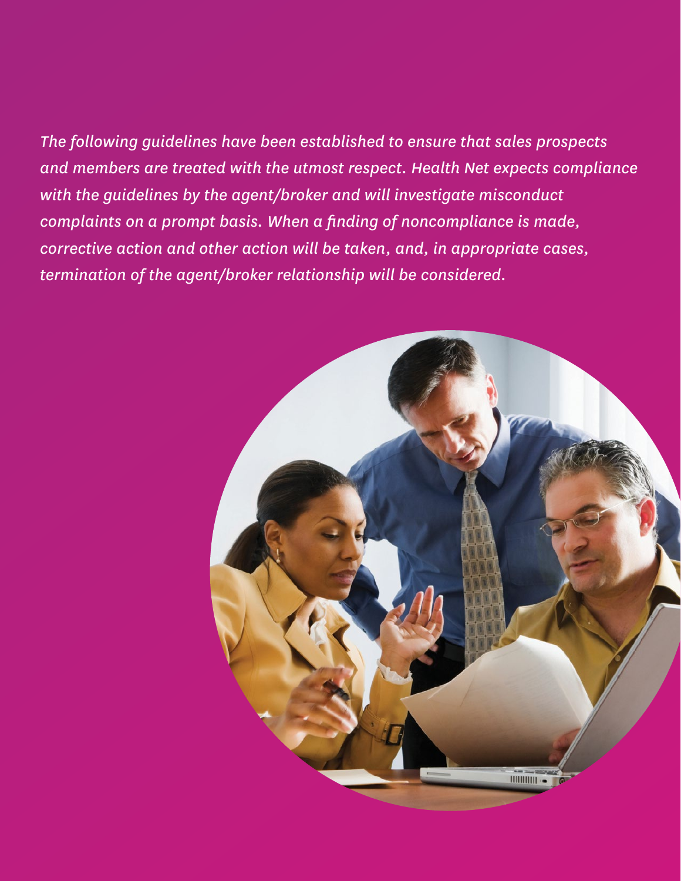#### *The following guidelines have been established to ensure that sales prospects and members are treated with the utmost respect. Health Net expects compliance with the guidelines by the agent/broker and will investigate misconduct complaints on a prompt basis. When a finding of noncompliance is made, corrective action and other action will be taken, and, in appropriate cases, termination of the agent/broker relationship will be considered.*

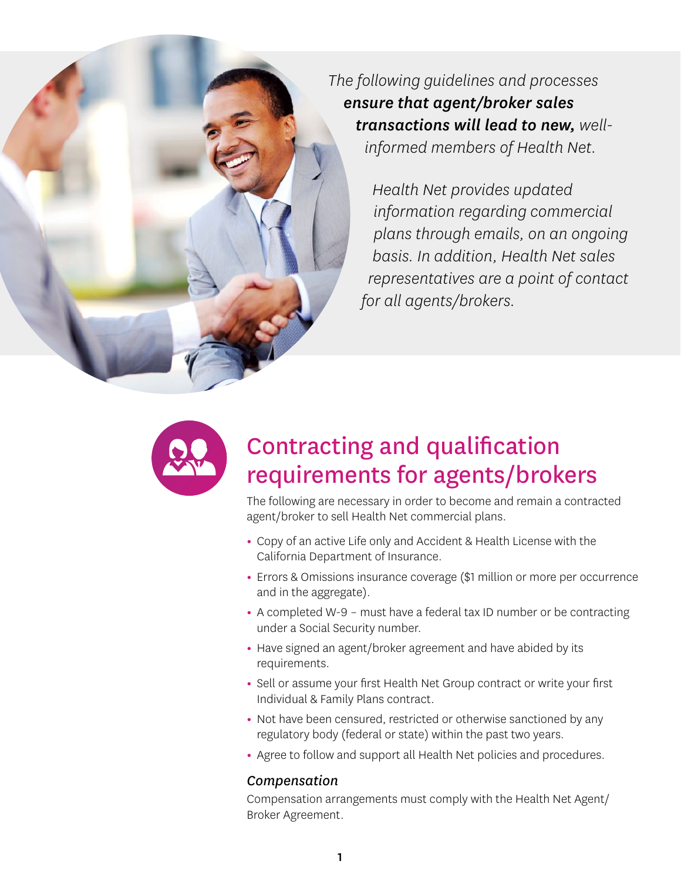*The following guidelines and processes ensure that agent/broker sales transactions will lead to new, wellinformed members of Health Net.* 

> *Health Net provides updated information regarding commercial plans through emails, on an ongoing basis. In addition, Health Net sales representatives are a point of contact for all agents/brokers.*



### Contracting and qualification requirements for agents/brokers

The following are necessary in order to become and remain a contracted agent/broker to sell Health Net commercial plans.

- **•** Copy of an active Life only and Accident & Health License with the California Department of Insurance.
- **•** Errors & Omissions insurance coverage (\$1 million or more per occurrence and in the aggregate).
- **•** A completed W-9 must have a federal tax ID number or be contracting under a Social Security number.
- **•** Have signed an agent/broker agreement and have abided by its requirements.
- **•** Sell or assume your first Health Net Group contract or write your first Individual & Family Plans contract.
- **•** Not have been censured, restricted or otherwise sanctioned by any regulatory body (federal or state) within the past two years.
- **•** Agree to follow and support all Health Net policies and procedures.

#### *Compensation*

Compensation arrangements must comply with the Health Net Agent/ Broker Agreement.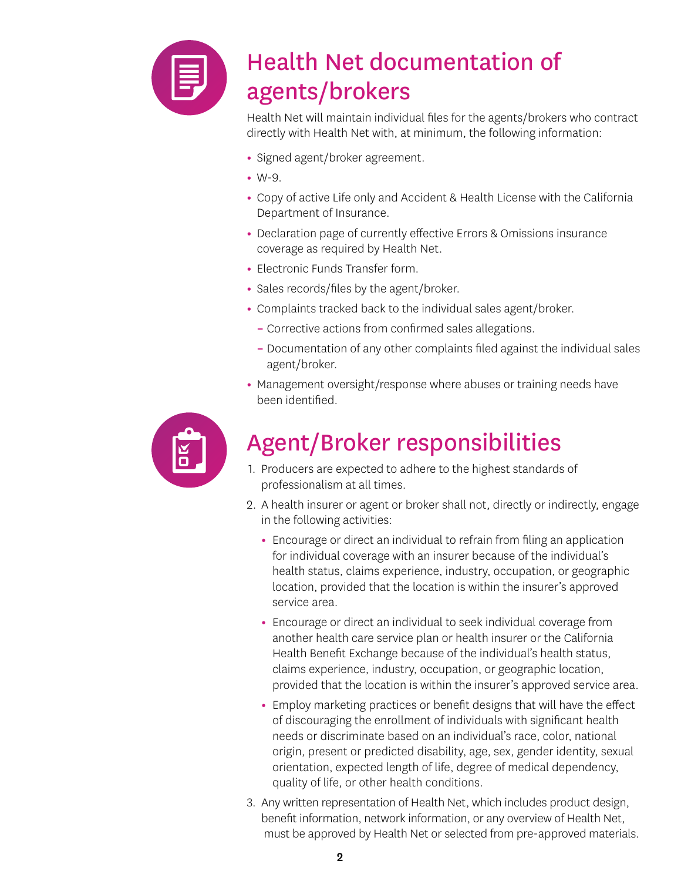

# Health Net documentation of agents/brokers

Health Net will maintain individual files for the agents/brokers who contract directly with Health Net with, at minimum, the following information:

- **•** Signed agent/broker agreement.
- **•** W-9.
- **•** Copy of active Life only and Accident & Health License with the California Department of Insurance.
- **•** Declaration page of currently effective Errors & Omissions insurance coverage as required by Health Net.
- **•** Electronic Funds Transfer form.
- **•** Sales records/files by the agent/broker.
- **•** Complaints tracked back to the individual sales agent/broker.
	- **–** Corrective actions from confirmed sales allegations.
	- **–** Documentation of any other complaints filed against the individual sales agent/broker.
- **•** Management oversight/response where abuses or training needs have been identified.



# Agent/Broker responsibilities

- 1. Producers are expected to adhere to the highest standards of professionalism at all times.
- 2. A health insurer or agent or broker shall not, directly or indirectly, engage in the following activities:
	- **•** Encourage or direct an individual to refrain from filing an application for individual coverage with an insurer because of the individual's health status, claims experience, industry, occupation, or geographic location, provided that the location is within the insurer's approved service area.
	- **•** Encourage or direct an individual to seek individual coverage from another health care service plan or health insurer or the California Health Benefit Exchange because of the individual's health status, claims experience, industry, occupation, or geographic location, provided that the location is within the insurer's approved service area.
	- **•** Employ marketing practices or benefit designs that will have the effect of discouraging the enrollment of individuals with significant health needs or discriminate based on an individual's race, color, national origin, present or predicted disability, age, sex, gender identity, sexual orientation, expected length of life, degree of medical dependency, quality of life, or other health conditions.
- 3. Any written representation of Health Net, which includes product design, benefit information, network information, or any overview of Health Net, must be approved by Health Net or selected from pre-approved materials.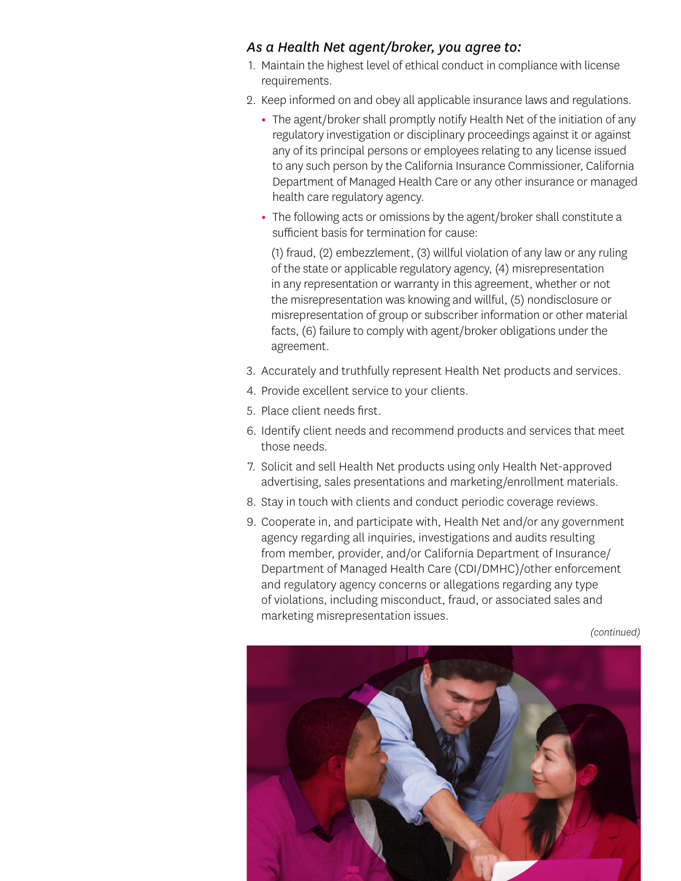#### *As a Health Net agent/broker, you agree to:*

- 1. Maintain the highest level of ethical conduct in compliance with license requirements.
- 2. Keep informed on and obey all applicable insurance laws and regulations.
	- **•** The agent/broker shall promptly notify Health Net of the initiation of any regulatory investigation or disciplinary proceedings against it or against any of its principal persons or employees relating to any license issued to any such person by the California Insurance Commissioner, California Department of Managed Health Care or any other insurance or managed health care regulatory agency.
	- **•** The following acts or omissions by the agent/broker shall constitute a sufficient basis for termination for cause:

(1) fraud, (2) embezzlement, (3) willful violation of any law or any ruling of the state or applicable regulatory agency, (4) misrepresentation in any representation or warranty in this agreement, whether or not the misrepresentation was knowing and willful, (5) nondisclosure or misrepresentation of group or subscriber information or other material facts, (6) failure to comply with agent/broker obligations under the agreement.

- 3. Accurately and truthfully represent Health Net products and services.
- 4. Provide excellent service to your clients.
- 5. Place client needs first.
- 6. Identify client needs and recommend products and services that meet those needs.
- 7. Solicit and sell Health Net products using only Health Net-approved advertising, sales presentations and marketing/enrollment materials.
- 8. Stay in touch with clients and conduct periodic coverage reviews.
- 9. Cooperate in, and participate with, Health Net and/or any government agency regarding all inquiries, investigations and audits resulting from member, provider, and/or California Department of Insurance/ Department of Managed Health Care (CDI/DMHC)/other enforcement and regulatory agency concerns or allegations regarding any type of violations, including misconduct, fraud, or associated sales and marketing misrepresentation issues.

*(continued)* 

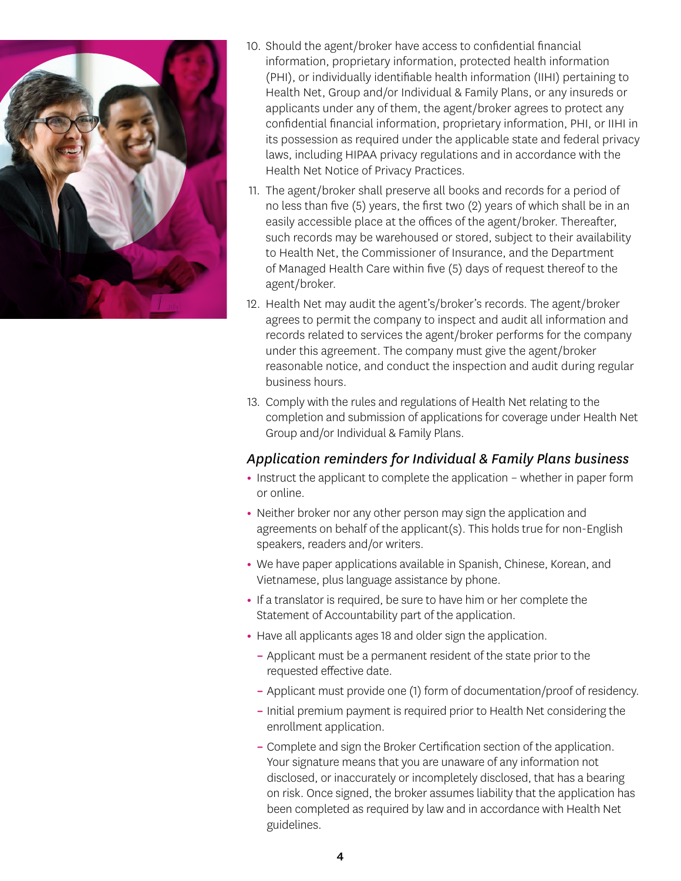

- 10. Should the agent/broker have access to confidential financial information, proprietary information, protected health information (PHI), or individually identifiable health information (IIHI) pertaining to Health Net, Group and/or Individual & Family Plans, or any insureds or applicants under any of them, the agent/broker agrees to protect any confidential financial information, proprietary information, PHI, or IIHI in its possession as required under the applicable state and federal privacy laws, including HIPAA privacy regulations and in accordance with the Health Net Notice of Privacy Practices.
- 11. The agent/broker shall preserve all books and records for a period of no less than five (5) years, the first two (2) years of which shall be in an easily accessible place at the offices of the agent/broker. Thereafter, such records may be warehoused or stored, subject to their availability to Health Net, the Commissioner of Insurance, and the Department of Managed Health Care within five (5) days of request thereof to the agent/broker.
- 12. Health Net may audit the agent's/broker's records. The agent/broker agrees to permit the company to inspect and audit all information and records related to services the agent/broker performs for the company under this agreement. The company must give the agent/broker reasonable notice, and conduct the inspection and audit during regular business hours.
- 13. Comply with the rules and regulations of Health Net relating to the completion and submission of applications for coverage under Health Net Group and/or Individual & Family Plans.

#### *Application reminders for Individual & Family Plans business*

- **•** Instruct the applicant to complete the application whether in paper form or online.
- **•** Neither broker nor any other person may sign the application and agreements on behalf of the applicant(s). This holds true for non-English speakers, readers and/or writers.
- **•** We have paper applications available in Spanish, Chinese, Korean, and Vietnamese, plus language assistance by phone.
- **•** If a translator is required, be sure to have him or her complete the Statement of Accountability part of the application.
- **•** Have all applicants ages 18 and older sign the application.
	- **–** Applicant must be a permanent resident of the state prior to the requested effective date.
	- **–** Applicant must provide one (1) form of documentation/proof of residency.
	- **–** Initial premium payment is required prior to Health Net considering the enrollment application.
	- **–** Complete and sign the Broker Certification section of the application. Your signature means that you are unaware of any information not disclosed, or inaccurately or incompletely disclosed, that has a bearing on risk. Once signed, the broker assumes liability that the application has been completed as required by law and in accordance with Health Net guidelines.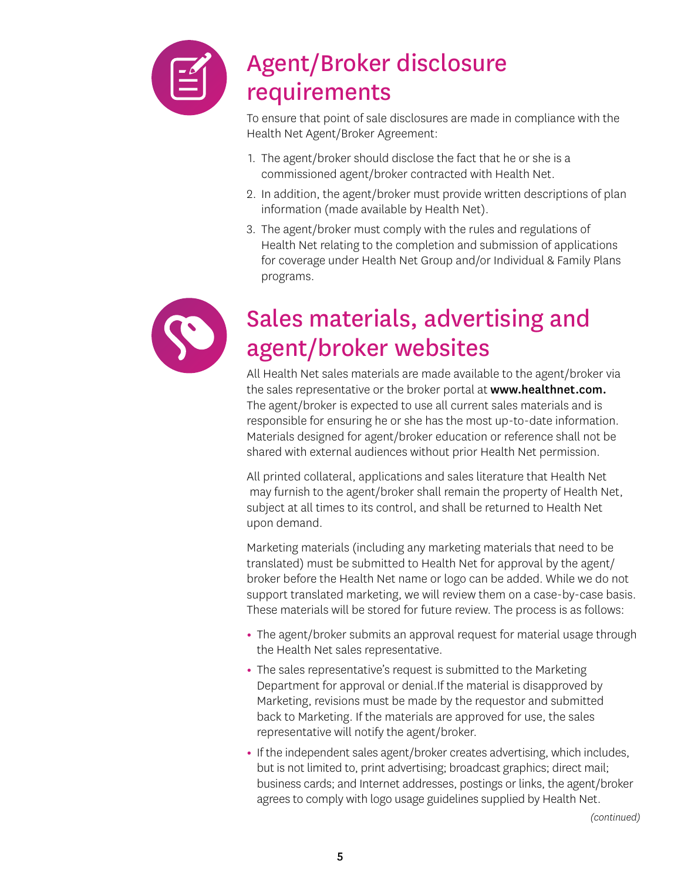

## Agent/Broker disclosure requirements

To ensure that point of sale disclosures are made in compliance with the Health Net Agent/Broker Agreement:

- 1. The agent/broker should disclose the fact that he or she is a commissioned agent/broker contracted with Health Net.
- 2. In addition, the agent/broker must provide written descriptions of plan information (made available by Health Net).
- 3. The agent/broker must comply with the rules and regulations of Health Net relating to the completion and submission of applications for coverage under Health Net Group and/or Individual & Family Plans programs.



# Sales materials, advertising and agent/broker websites

All Health Net sales materials are made available to the agent/broker via the sales representative or the broker portal at www.healthnet.com. The agent/broker is expected to use all current sales materials and is responsible for ensuring he or she has the most up-to-date information. Materials designed for agent/broker education or reference shall not be shared with external audiences without prior Health Net permission.

All printed collateral, applications and sales literature that Health Net may furnish to the agent/broker shall remain the property of Health Net, subject at all times to its control, and shall be returned to Health Net upon demand.

Marketing materials (including any marketing materials that need to be translated) must be submitted to Health Net for approval by the agent/ broker before the Health Net name or logo can be added. While we do not support translated marketing, we will review them on a case-by-case basis. These materials will be stored for future review. The process is as follows:

- **•** The agent/broker submits an approval request for material usage through the Health Net sales representative.
- **•** The sales representative's request is submitted to the Marketing Department for approval or denial.If the material is disapproved by Marketing, revisions must be made by the requestor and submitted back to Marketing. If the materials are approved for use, the sales representative will notify the agent/broker.
- **•** If the independent sales agent/broker creates advertising, which includes, but is not limited to, print advertising; broadcast graphics; direct mail; business cards; and Internet addresses, postings or links, the agent/broker agrees to comply with logo usage guidelines supplied by Health Net.

*(continued)*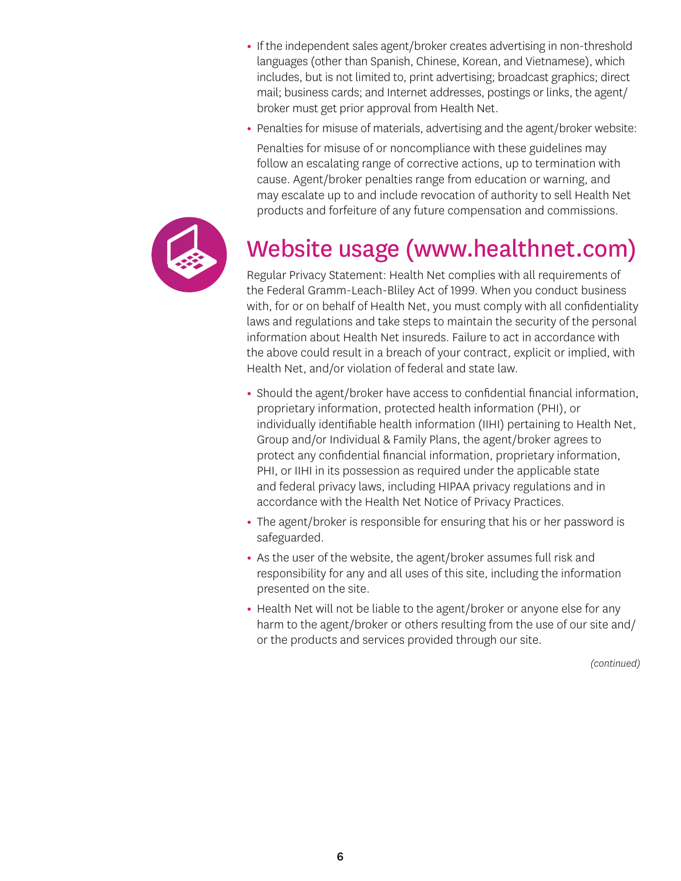- **•** If the independent sales agent/broker creates advertising in non-threshold languages (other than Spanish, Chinese, Korean, and Vietnamese), which includes, but is not limited to, print advertising; broadcast graphics; direct mail; business cards; and Internet addresses, postings or links, the agent/ broker must get prior approval from Health Net.
- **•** Penalties for misuse of materials, advertising and the agent/broker website:

Penalties for misuse of or noncompliance with these guidelines may follow an escalating range of corrective actions, up to termination with cause. Agent/broker penalties range from education or warning, and may escalate up to and include revocation of authority to sell Health Net products and forfeiture of any future compensation and commissions.



### Website usage (www.healthnet.com)

Regular Privacy Statement: Health Net complies with all requirements of the Federal Gramm-Leach-Bliley Act of 1999. When you conduct business with, for or on behalf of Health Net, you must comply with all confidentiality laws and regulations and take steps to maintain the security of the personal information about Health Net insureds. Failure to act in accordance with the above could result in a breach of your contract, explicit or implied, with Health Net, and/or violation of federal and state law.

- **•** Should the agent/broker have access to confidential financial information, proprietary information, protected health information (PHI), or individually identifiable health information (IIHI) pertaining to Health Net, Group and/or Individual & Family Plans, the agent/broker agrees to protect any confidential financial information, proprietary information, PHI, or IIHI in its possession as required under the applicable state and federal privacy laws, including HIPAA privacy regulations and in accordance with the Health Net Notice of Privacy Practices.
- **•** The agent/broker is responsible for ensuring that his or her password is safeguarded.
- **•** As the user of the website, the agent/broker assumes full risk and responsibility for any and all uses of this site, including the information presented on the site.
- **•** Health Net will not be liable to the agent/broker or anyone else for any harm to the agent/broker or others resulting from the use of our site and/ or the products and services provided through our site.

*(continued)*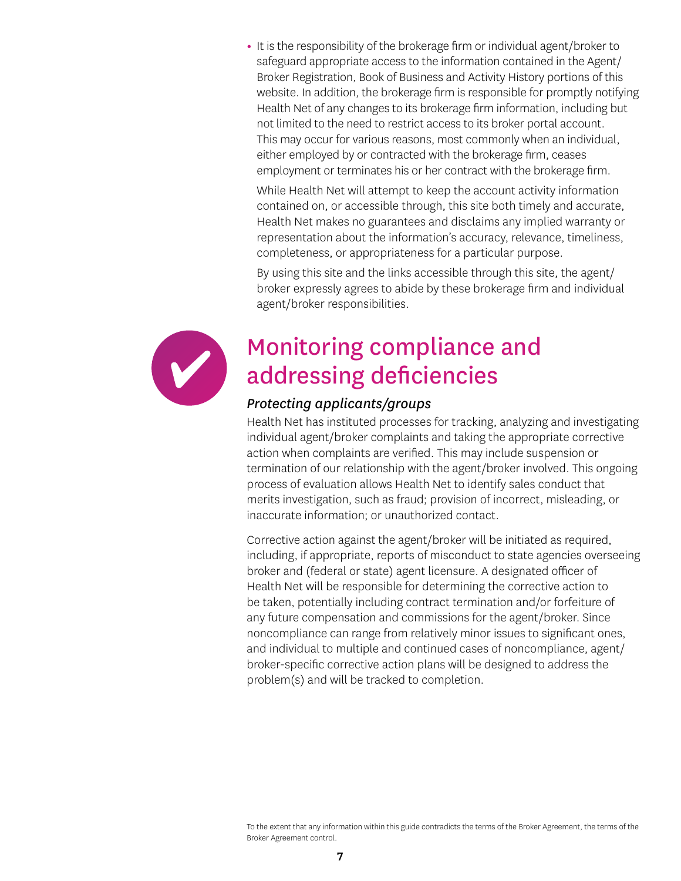**•** It is the responsibility of the brokerage firm or individual agent/broker to safeguard appropriate access to the information contained in the Agent/ Broker Registration, Book of Business and Activity History portions of this website. In addition, the brokerage firm is responsible for promptly notifying Health Net of any changes to its brokerage firm information, including but not limited to the need to restrict access to its broker portal account. This may occur for various reasons, most commonly when an individual, either employed by or contracted with the brokerage firm, ceases employment or terminates his or her contract with the brokerage firm.

While Health Net will attempt to keep the account activity information contained on, or accessible through, this site both timely and accurate, Health Net makes no guarantees and disclaims any implied warranty or representation about the information's accuracy, relevance, timeliness, completeness, or appropriateness for a particular purpose.

By using this site and the links accessible through this site, the agent/ broker expressly agrees to abide by these brokerage firm and individual agent/broker responsibilities.



### Monitoring compliance and addressing deficiencies

#### *Protecting applicants/groups*

Health Net has instituted processes for tracking, analyzing and investigating individual agent/broker complaints and taking the appropriate corrective action when complaints are verified. This may include suspension or termination of our relationship with the agent/broker involved. This ongoing process of evaluation allows Health Net to identify sales conduct that merits investigation, such as fraud; provision of incorrect, misleading, or inaccurate information; or unauthorized contact.

Corrective action against the agent/broker will be initiated as required, including, if appropriate, reports of misconduct to state agencies overseeing broker and (federal or state) agent licensure. A designated officer of Health Net will be responsible for determining the corrective action to be taken, potentially including contract termination and/or forfeiture of any future compensation and commissions for the agent/broker. Since noncompliance can range from relatively minor issues to significant ones, and individual to multiple and continued cases of noncompliance, agent/ broker-specific corrective action plans will be designed to address the problem(s) and will be tracked to completion.

To the extent that any information within this guide contradicts the terms of the Broker Agreement, the terms of the Broker Agreement control.